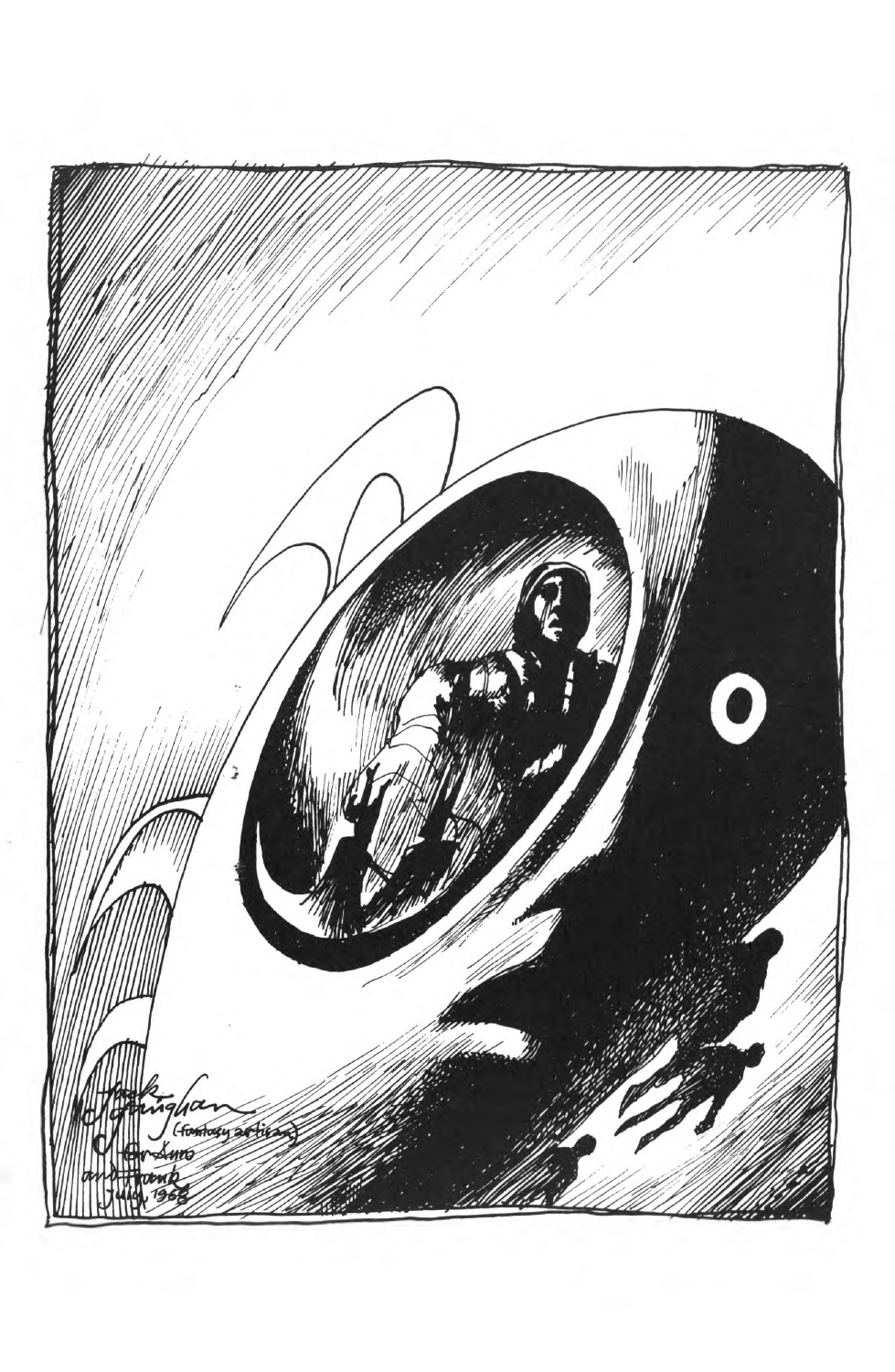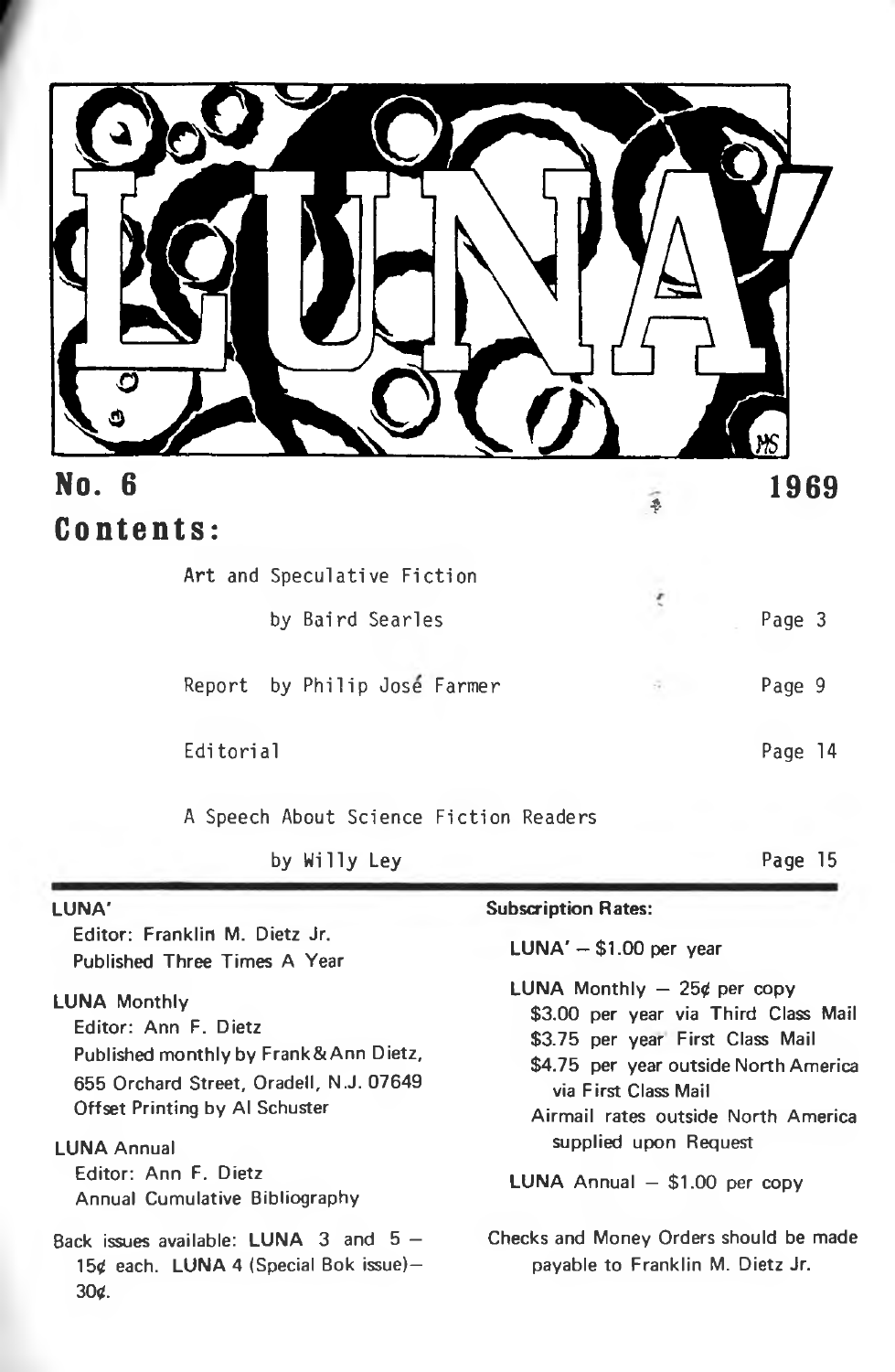| <b>No. 6</b>                                                                                                                                                                                                                                        | 1969<br>Ą.                                                                                                                                                                                                              |
|-----------------------------------------------------------------------------------------------------------------------------------------------------------------------------------------------------------------------------------------------------|-------------------------------------------------------------------------------------------------------------------------------------------------------------------------------------------------------------------------|
| Contents:<br>Art and Speculative Fiction<br>by Baird Searles                                                                                                                                                                                        | Page 3                                                                                                                                                                                                                  |
| Report by Philip José Farmer                                                                                                                                                                                                                        | Page 9                                                                                                                                                                                                                  |
| Editorial                                                                                                                                                                                                                                           | Page 14                                                                                                                                                                                                                 |
| A Speech About Science Fiction Readers                                                                                                                                                                                                              |                                                                                                                                                                                                                         |
| by Willy Ley                                                                                                                                                                                                                                        | Page 15                                                                                                                                                                                                                 |
| LUNA'<br>Editor: Franklin M. Dietz Jr.<br>Published Three Times A Year                                                                                                                                                                              | <b>Subscription Rates:</b><br>$LUNA' - $1.00$ per year                                                                                                                                                                  |
| <b>LUNA Monthly</b><br>Editor: Ann F. Dietz<br>Published monthly by Frank & Ann Dietz,<br>655 Orchard Street, Oradell, N.J. 07649<br>Offset Printing by Al Schuster<br><b>LUNA Annual</b><br>Editor: Ann F. Dietz<br>Annual Cumulative Bibliography | <b>LUNA</b> Monthly $-25¢$ per copy<br>\$3.00 per year via Third Class Mail<br>\$3.75 per year First Class Mail<br>\$4.75 per year outside North America<br>via First Class Mail<br>Airmail rates outside North America |
|                                                                                                                                                                                                                                                     | supplied upon Request<br>LUNA Annual $-$ \$1.00 per copy                                                                                                                                                                |
| Back issues available: LUNA 3 and 5 -<br>15¢ each. LUNA 4 (Special Bok issue)-<br>30¢.                                                                                                                                                              | Checks and Money Orders should be made<br>payable to Franklin M. Dietz Jr.                                                                                                                                              |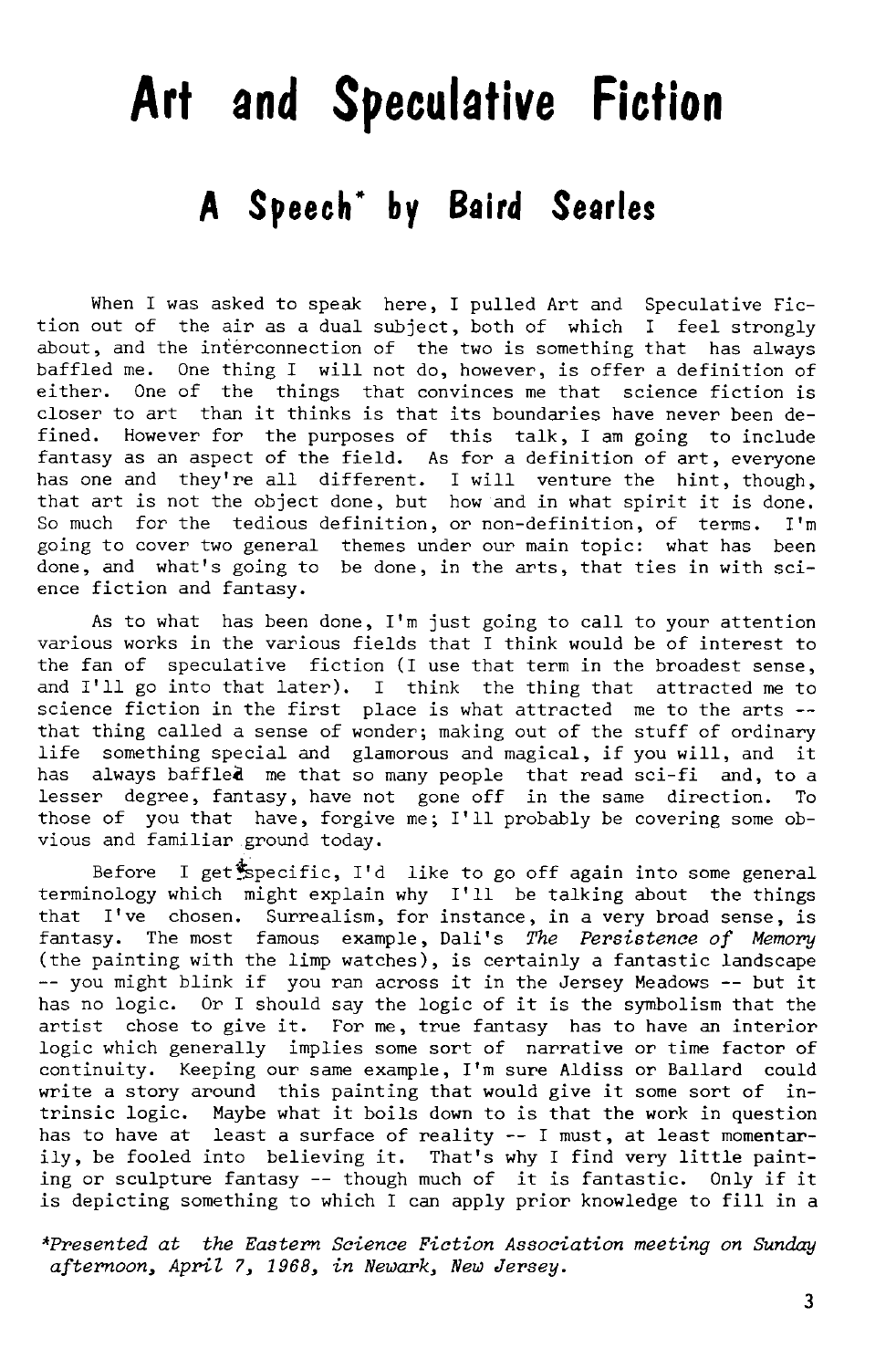# **Art and Speculative Fiction**

### **A Speech' by Baird Searles**

When I was asked to speak here, I pulled Art and Speculative Fiction out of the air as a dual subject, both of which I feel strongly about, and the interconnection of the two is something that has always baffled me. One thing I will not do, however, is offer a definition of either. One of the things that convinces me that science fiction is closer to art than it thinks is that its boundaries have never been defined. However for the purposes of this talk, I am going to include fantasy as an aspect of the field. As for a definition of art, everyone has one and they're all different. <sup>I</sup> will venture the hint, though, that art is not the object done, but how and in what spirit it is done. So much for the tedious definition, or non-definition, of terms. I'm going to cover two general themes under our main topic: what has been done, and what's going to be done, in the arts, that ties in with science fiction and fantasy.

As to what has been done, I'm just going to call to your attention various works in the various fields that <sup>I</sup> think would be of interest to the fan of speculative fiction (I use that term in the broadest sense, and I'll go into that later). I think the thing that attracted me to science fiction in the first place is what attracted me to the arts that thing called a sense of wonder; making out of the stuff of ordinary life something special and glamorous and magical, if you will, and it has always baffled me that so many people that read sci-fi and, to a lesser degree, fantasy, have not gone off in the same direction. To those of you that have, forgive me; I'll probably be covering some obvious and familiar ground today.

Before I get<sup>\$</sup>specific, I'd like to go off again into some general terminology which might explain why I'll be talking about the things that I've chosen. Surrealism, for instance, in a very broad sense, is fantasy. The most famous example, Dali's *The Persistence of Memory* (the painting with the limp watches), is certainly a fantastic landscape — you might blink if you ran across it in the Jersey Meadows — but it has no logic. Or I should say the logic of it is the symbolism that the artist chose to give it. For me, true fantasy has to have an interior logic which generally implies some sort of narrative or time factor of continuity. Keeping our same example, I'm sure Aldiss or Ballard could write a story around this painting that would give it some sort of intrinsic logic. Maybe what it boils down to is that the work in question has to have at least <sup>a</sup> surface of reality — <sup>I</sup> must, at least momentarily, be fooled into believing it. That's why I find very little paint-ing or sculpture fantasy — though much of it is fantastic. Only if it is depicting something to which I can apply prior knowledge to fill in a

*\*Presented at the Eastern Science Fiction Association meeting on Sunday afternoon, April 7, 1968, in Newark, New Jersey.*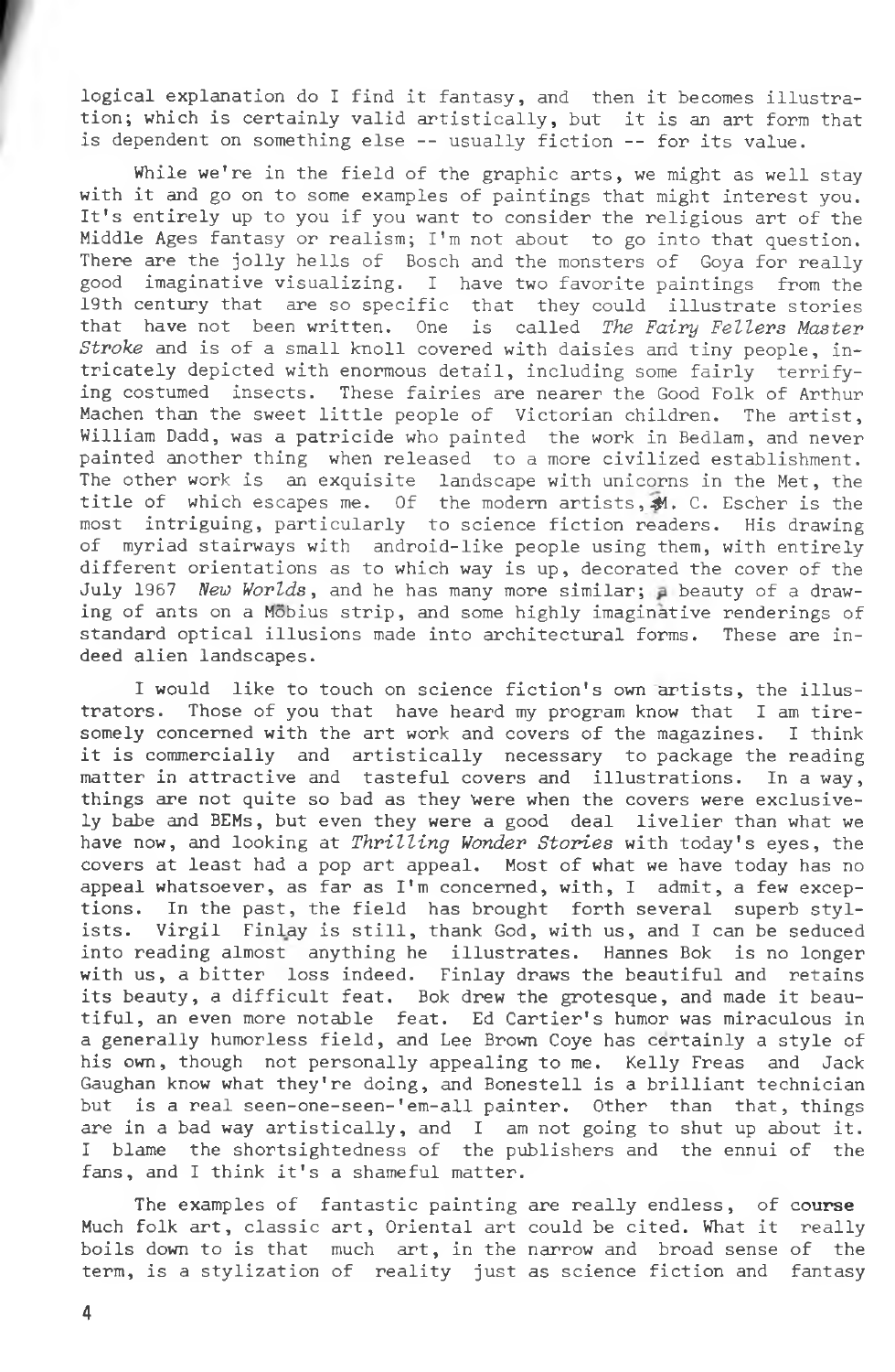logical explanation do I find it fantasy, and then it becomes illustration; which is certainly valid artistically, but it is an art form that is dependent on something else -- usually fiction — for its value.

While we're in the field of the graphic arts, we might as well stay with it and go on to some examples of paintings that might interest you. It's entirely up to you if you want to consider the religious art of the Middle Ages fantasy or realism; I'm not about to go into that question. There are the jolly hells of Bosch and the monsters of Goya for really good imaginative visualizing. I have two favorite paintings from the 19th century that are so specific that they could illustrate stories that have not been written. One is called *The Fairy Fellers Master Stroke* and is of a small knoll covered with daisies and tiny people, intricately depicted with enormous detail, including some fairly terrifying costumed insects. These fairies are nearer the Good Folk of Arthur Machen than the sweet little people of Victorian children. The artist, William Dadd, was a patricide who painted the work in Bedlam, and never painted another thing when released to a more civilized establishment. The other work is an exquisite landscape with unicorns in the Met, the title of which escapes me. Of the modern artists, 41. C. Escher is the most intriguing, particularly to science fiction readers. His drawing of myriad stairways with android-like people using them, with entirely different orientations as to which way is up, decorated the cover of the July 1967 *New Worlds,* and he has many more similar; beauty of a drawing of ants on a Mobius strip, and some highly imaginative renderings of standard optical illusions made into architectural forms. These are indeed alien landscapes.

I would like to touch on science fiction's own artists, the illustrators. Those of you that have heard my program know that <sup>I</sup> am tiresomely concerned with the art work and covers of the magazines. I think it is commercially and artistically necessary to package the reading matter in attractive and tasteful covers and illustrations. In a way, things are not quite so bad as they Were when the covers were exclusively babe and BEMs, but even they were a good deal livelier than what we have now, and looking at *Thrilling Wonder Stories* with today's eyes, the covers at least had a pop art appeal. Most of what we have today has no appeal whatsoever, as far as I'm concerned, with, I admit, a few exceptions. In the past, the field has brought forth several superb stylists. Virgil Finlay is still, thank God, with us, and <sup>I</sup> can be seduced into reading almost anything he illustrates. Hannes Bok is no longer with us, a bitter loss indeed. Finlay draws the beautiful and retains its beauty, a difficult feat. Bok drew the grotesque, and made it beautiful, an even more notable feat. Ed Cartier's humor was miraculous in a generally humorless field, and Lee Brown Coye has certainly a style of his own, though not personally appealing to me. Kelly Freas and Jack Gaughan know what they're doing, and Bonestell is a brilliant technician but is a real seen-one-seen-'em-all painter. Other than that, things are in a bad way artistically, and I am not going to shut up about it. <sup>I</sup> blame the shortsightedness of the publishers and the ennui of the fans, and <sup>I</sup> think it's a shameful matter.

The examples of fantastic painting are really endless, of **course** Much folk art, classic art, Oriental art could be cited. What it really boils down to is that much art, in the narrow and broad sense of the term, is a stylization of reality just as science fiction and fantasy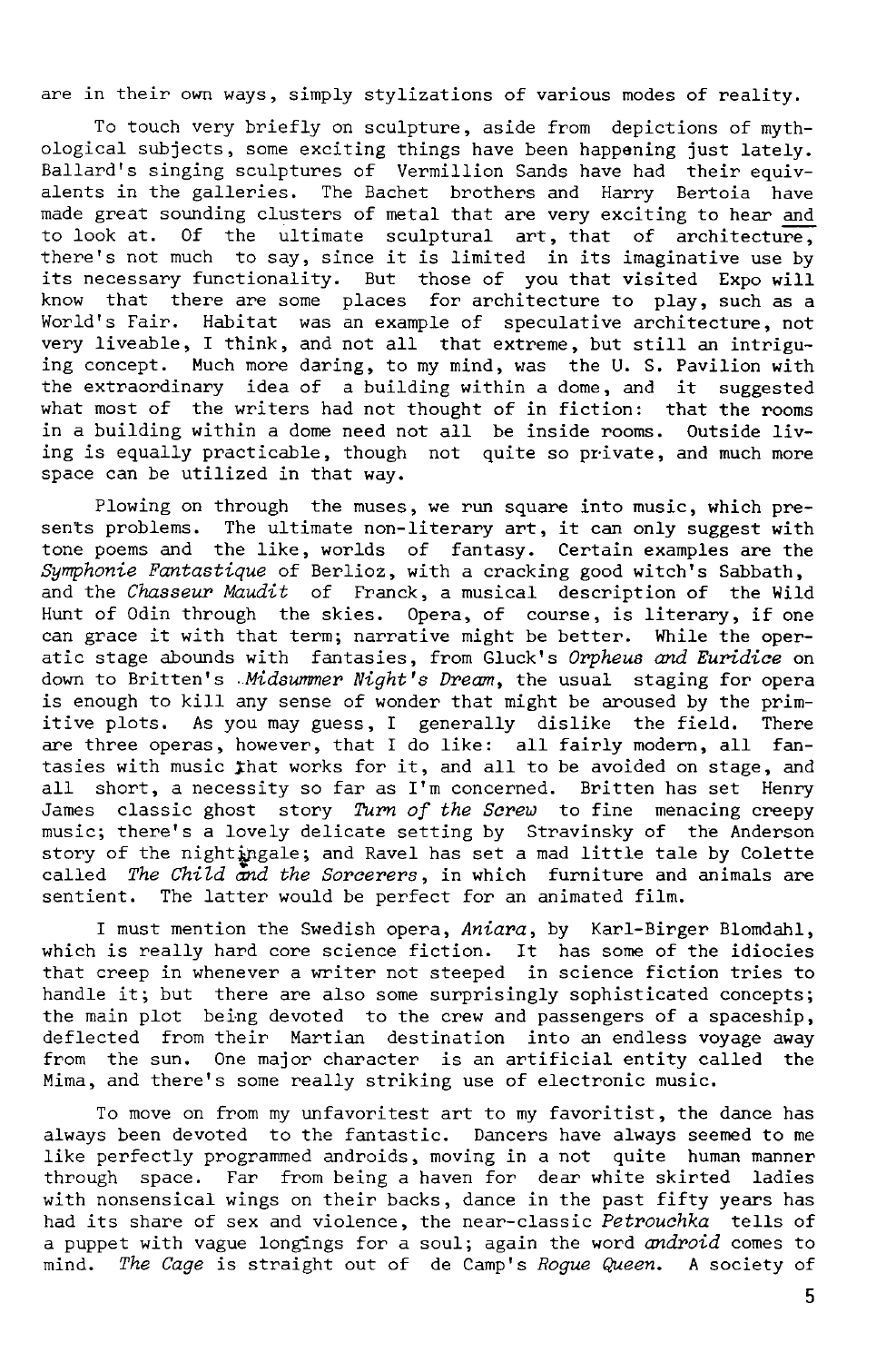are in their own ways, simply stylizations of various modes of reality.

To touch very briefly on sculpture, aside from depictions of mythological subjects, some exciting things have been happening just lately. Ballard's singing sculptures of Vermillion Sands have had their equivalents in the galleries. The Bachet brothers and Harry Bertoia have made great sounding clusters of metal that are very exciting to hear and to look at. Of the ultimate sculptural art, that of architecture, there's not much to say, since it is limited in its imaginative use by its necessary functionality. But those of you that visited Expo will know that there are some places for architecture to play, such as a World's Fair. Habitat was an example of speculative architecture, not very liveable, I think, and not all that extreme, but still an intriguing concept. Much more daring, to my mind, was the 0. S. Pavilion with the extraordinary idea of a building within a dome, and it suggested what most of the writers had not thought of in fiction: that the rooms in a building within a dome need not all be inside rooms. Outside living is equally practicable, though not quite so private, and much more space can be utilized in that way.

Plowing on through the muses, we run square into music, which presents problems. The ultimate non-literary art, it can only suggest with tone poems and the like, worlds of fantasy. Certain examples are the *Symphonic Fantastique* of Berlioz, with a cracking good witch's Sabbath, and the *Chasseur Maudit* of Franck, a musical description of the Wild Hunt of Odin through the skies. Opera, of course, is literary, if one can grace it with that term; narrative might be better. While the operatic stage abounds with fantasies, from Gluck's *Orpheus and Euridice* on down to Britten's *Midsummer Night's Dream,* the usual staging for opera is enough to kill any sense of wonder that might be aroused by the primitive plots. As you may guess, <sup>I</sup> generally dislike the field. There are three operas, however, that I do like: all fairly modern, all fantasies with music that works for it, and all to be avoided on stage, and all short, a necessity so far as I'm concerned. Britten has set Henry James classic ghost story *Turn of the Screw* to fine menacing creepy music; there's a lovely delicate setting by Stravinsky of the Anderson story of the nightingale; and Ravel has set a mad little tale by Colette called *The Child and the Sorcerers,* in which furniture and animals are sentient. The latter would be perfect for an animated film.

I must mention the Swedish opera, *Aniara,* by Karl-Birger Blomdahl, which is really hard core science fiction. It has some of the idiocies that creep in whenever a writer not steeped in science fiction tries to handle it; but there are also some surprisingly sophisticated concepts; the main plot being devoted to the crew and passengers of a spaceship, deflected from their Martian destination into an endless voyage away from the sun. One major character is an artificial entity called the Mima, and there's some really striking use of electronic music.

To move on from my unfavoritest art to my favoritist, the dance has always been devoted to the fantastic. Dancers have always seemed to me like perfectly programmed androids, moving in a not quite human manner through space. Far from being a haven for dear white skirted ladies with nonsensical wings on their backs, dance in the past fifty years has had its share of sex and violence, the near-classic *Petrouchka* tells of a puppet with vague longings for a soul; again the word *android* comes to mind. *The Cage* is straight out of de Camp's *Rogue Queen.* A society of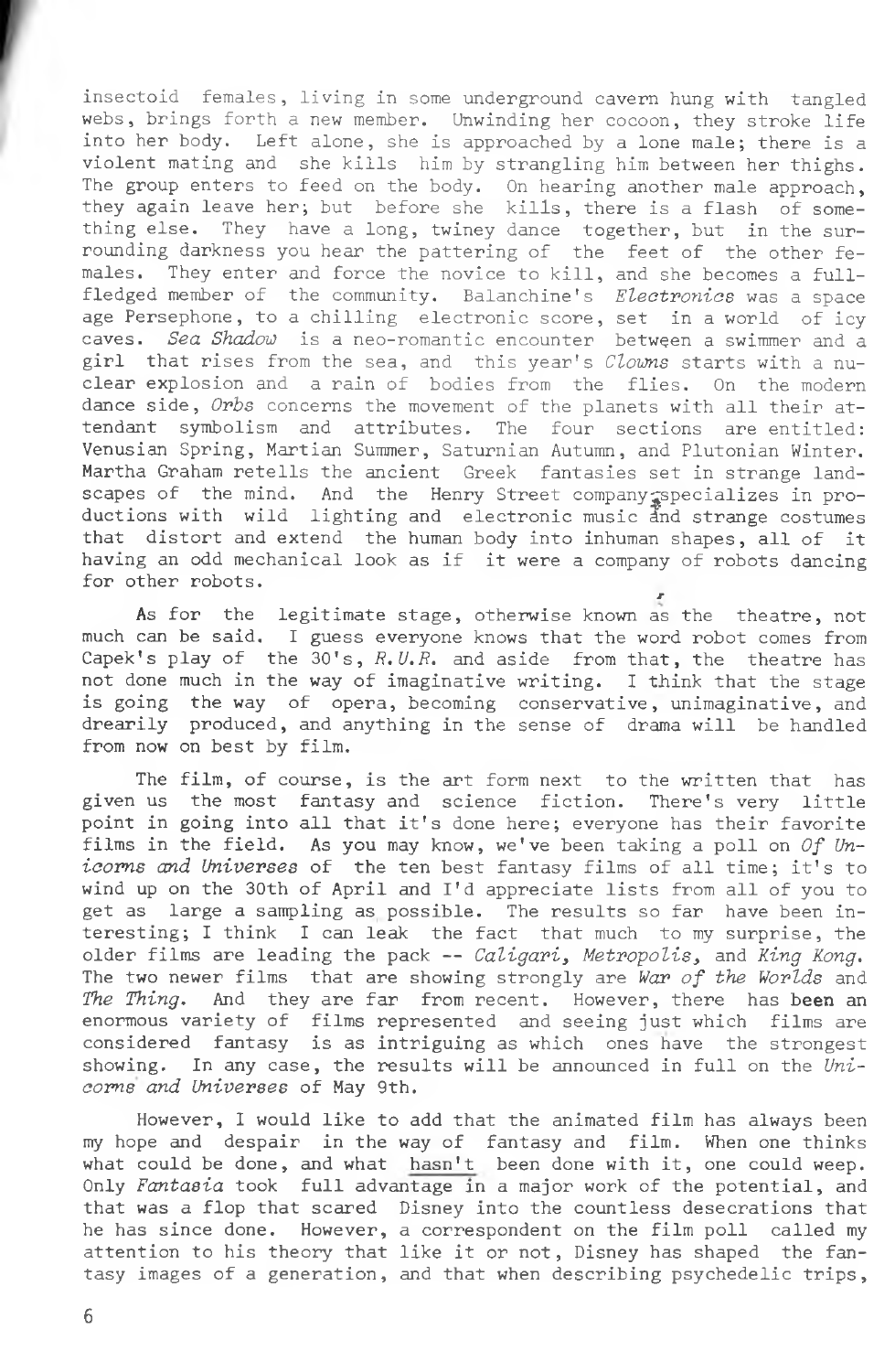insectoid females, living in some underground cavern hung with tangled webs, brings forth a new member. Unwinding her cocoon, they stroke life into her body. Left alone, she is approached by a lone male; there is a violent mating and she kills him by strangling him between her thighs. The group enters to feed on the body. On hearing another male approach, they again leave her; but before she kills, there is a flash of something else. They have a long, twiney dance together, but in the surrounding darkness you hear the pattering of the feet of the other females. They enter and force the novice to kill, and she becomes a fullfledged member of the community. Balanchine's *Electronics* was a space age Persephone, to a chilling electronic score, set in a world of icy caves. *Sea Shadow* is a neo-romantic encounter between a swimmer and a girl that rises from the sea, and this year's *Clowns* starts with a nuclear explosion and a rain of bodies from the flies. On the modern dance side, *Orbs* concerns the movement of the planets with all their attendant symbolism and attributes. The four sections are entitled: Venusian Spring, Martian Summer, Saturnian Autumn, and Plutonian Winter. Martha Graham retells the ancient Greek fantasies set in strange landscapes of the mind. And the Henry Street company specializes in productions with wild lighting and electronic music And strange costumes that distort and extend the human body into inhuman shapes, all of it having an odd mechanical look as if it were a company of robots dancing for other robots. *r*

As for the legitimate stage, otherwise known as the theatre, not much can be said. <sup>I</sup> guess everyone knows that the word robot comes from Capek's play of the 30's, *R. U. R.* and aside from that, the theatre has not done much in the way of imaginative writing. I think that the stage is going the way of opera, becoming conservative, unimaginative, and drearily produced, and anything in the sense of drama will be handled from now on best by film.

The film, of course, is the art form next to the written that has given us the most fantasy and science fiction. There's very little point in going into all that it's done here; everyone has their favorite films in the field. As you may know, we've been taking a poll on *Of Unicorns and Universes* of the ten best fantasy films of all time; it's to wind up on the 30th of April and I'd appreciate lists from all of you to get as large a sampling as possible. The results so far have been interesting; I think I can leak the fact that much to my surprise, the older films are leading the pack — *Caligari, Metropolis,* and *King Kong.* The two newer films that are showing strongly are *War of the Worlds* and *The Thing.* And they are far from recent. However, there has been an enormous variety of films represented and seeing just which films are considered fantasy is as intriguing as which ones have the strongest showing. In any case, the results will be announced in full on the *Unicorns and Universes* of May 9th.

However, I would like to add that the animated film has always been my hope and despair in the way of fantasy and film. When one thinks what could be done, and what hasn't been done with it, one could weep. Only *Fantasia* took full advantage in a major work of the potential, and that was a flop that scared Disney into the countless desecrations that he has since done. However, a correspondent on the film poll called my attention to his theory that like it or not, Disney has shaped the fantasy images of a generation, and that when describing psychedelic trips,

6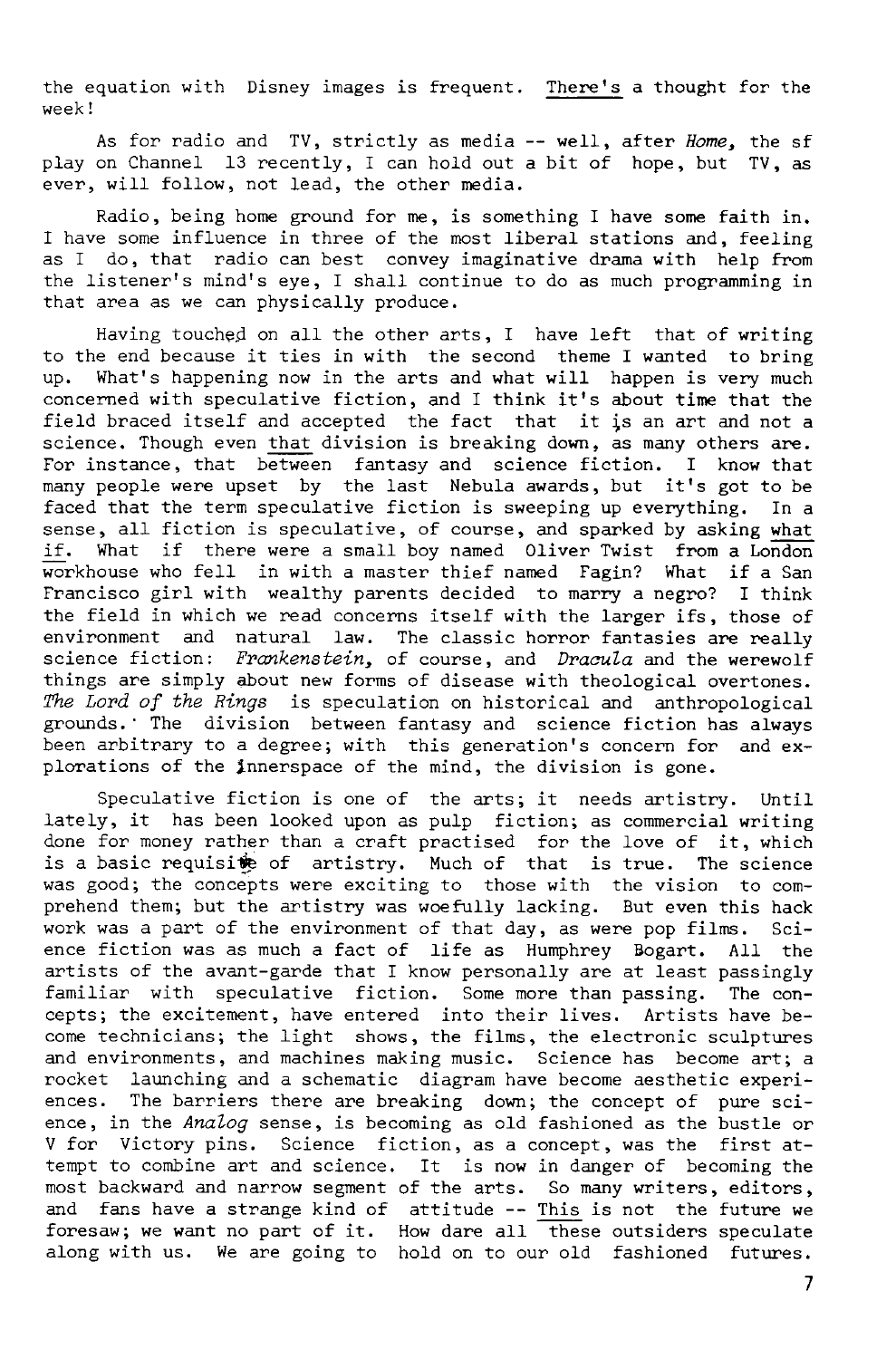the equation with Disney images is frequent. There's a thought for the week!

As for radio and TV, strictly as media — well, after *Home,* the sf play on Channel 13 recently, I can hold out a bit of hope, but TV, as ever, will follow, not lead, the other media.

Radio, being home ground for me, is something I have some faith in. I have some influence in three of the most liberal stations and, feeling as I do, that radio can best convey imaginative drama with help from the listener's mind's eye, I shall continue to do as much programming in that area as we can physically produce.

Having touched on all the other arts, I have left that of writing to the end because it ties in with the second theme I wanted to bring up. What's happening now in the arts and what will happen is very much concerned with speculative fiction, and I think it's about time that the field braced itself and accepted the fact that it is an art and not a science. Though even that division is breaking down, as many others are. For instance, that between fantasy and science fiction. I know that many people were upset by the last Nebula awards, but it's got to be faced that the term speculative fiction is sweeping up everything. In a sense, all fiction is speculative, of course, and sparked by asking what if. What if there were a small boy named Oliver Twist from a London workhouse who fell in with a master thief named Fagin? What if a San Francisco girl with wealthy parents decided to marry a negro? <sup>I</sup> think the field in which we read concerns itself with the larger ifs, those of environment and natural law. The classic horror fantasies are really science fiction: *Frankenstein,* of course, and *Dracula* and the werewolf things are simply about new forms of disease with theological overtones. *The Lord of the Rings* is speculation on historical and anthropological grounds.' The division between fantasy and science fiction has always been arbitrary to a degree; with this generation's concern for and explorations of the innerspace of the mind, the division is gone.

Speculative fiction is one of the arts; it needs artistry. Until lately, it has been looked upon as pulp fiction; as commercial writing done for money rather than a craft practised for the love of it, which is a basic requisife of artistry. Much of that is true. The science was good; the concepts were exciting to those with the vision to comprehend them; but the artistry was woefully lacking. But even this hack work was a part of the environment of that day, as were pop films. Science fiction was as much a fact of life as Humphrey Bogart. All the artists of the avant-garde that I know personally are at least passingly familiar with speculative fiction. Some more than passing. The concepts; the excitement, have entered into their lives. Artists have become technicians; the light shows, the films, the electronic sculptures and environments, and machines making music. Science has become art; a rocket launching and a schematic diagram have become aesthetic experiences. The barriers there are breaking down; the concept of pure science , in the *Analog* sense, is becoming as old fashioned as the bustle or V for Victory pins. Science fiction, as a concept, was the first attempt to combine art and science. It is now in danger of becoming the most backward and narrow segment of the arts. So many writers, editors, and fans have a strange kind of attitude -- This is not the future we foresaw; we want no part of it. How dare all these outsiders speculate along with us. We are going to hold on to our old fashioned futures.

7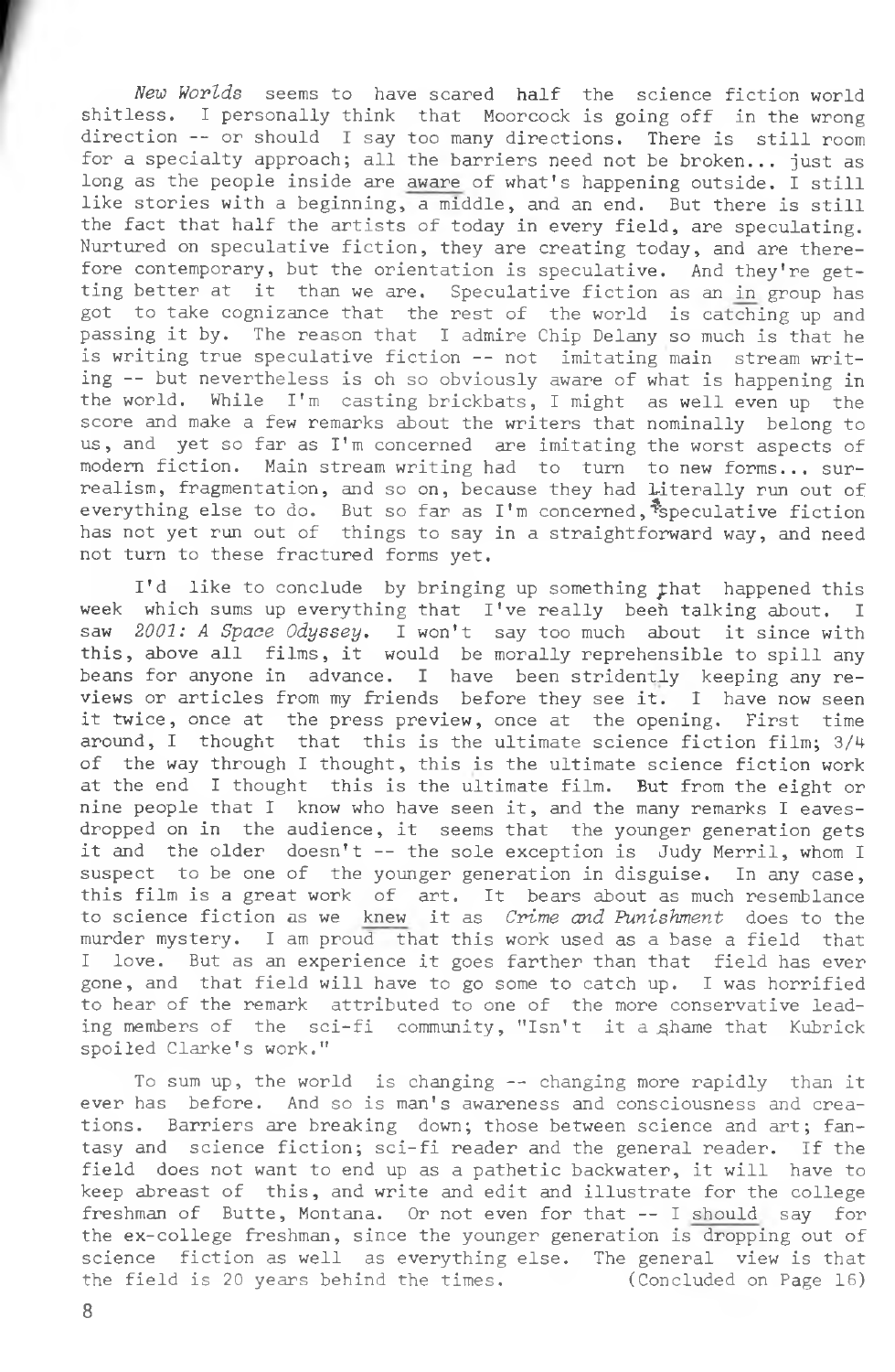*New Worlds* seems to have scared half the science fiction world shitless. I personally think that Moorcock is going off in the wrong direction -- or should I say too many directions. There is still room for a specialty approach; all the barriers need not be broken... just as long as the people inside are aware of what's happening outside. I still like stories with a beginning, a middle, and an end. But there is still the fact that half the artists of today in every field, are speculating. Nurtured on speculative fiction, they are creating today, and are therefore contemporary, but the orientation is speculative. And they're getting better at it than we are. Speculative fiction as an in group has got to take cognizance that the rest of the world is catching up and passing it by. The reason that I admire Chip Delany so much is that he is writing true speculative fiction -- not imitating main stream writing — but nevertheless is oh so obviously aware of what is happening in the world. While I'm casting brickbats, I might as well even up the score and make a few remarks about the writers that nominally belong to us, and yet so far as I'm concerned are imitating the worst aspects of modern fiction. Main stream writing had to turn to new forms... surrealism, fragmentation, and so on, because they had literally run out of everything else to do. But so far as  $I^{\dagger}$ m concerned,  $\ddot{\ddot{\xi}}$ speculative fiction has not yet run out of things to say in a straightforward way, and need not turn to these fractured forms yet.

I'd like to conclude by bringing up something £hat happened this week which sums up everything that I've really beeh talking about. <sup>I</sup> saw *2001: A Space Odyssey.* I won't say too much about it since with this, above all films, it would be morally reprehensible to spill any beans for anyone in advance. <sup>I</sup> have been stridently keeping any reviews or articles from my friends before they see it. <sup>I</sup> have now seen it twice, once at the press preview, once at the opening. First time around, I thought that this is the ultimate science fiction film; 3/h of the way through I thought, this is the ultimate science fiction work at the end I thought this is the ultimate film. But from the eight or nine people that <sup>I</sup> know who have seen it, and the many remarks <sup>I</sup> eavesdropped on in the audience, it seems that the younger generation gets it and the older doesn't -- the sole exception is Judy Merril, whom I suspect to be one of the younger generation in disguise. In any case, this film is a great work of art. It bears about as much resemblance to science fiction as we knew it as *Crime and Punishment* does to the murder mystery. I am proud that this work used as a base a field that I love. But as an experience it goes farther than that field has ever gone, and that field will have to go some to catch up. <sup>I</sup> was horrified to hear of the remark attributed to one of the more conservative leading members of the sci-fi community, "Isn't it a ghame that Kubrick spoiled Clarke's work."

To sum up, the world is changing -- changing more rapidly than it ever has before. And so is man's awareness and consciousness and creations. Barriers are breaking down; those between science and art; fantasy and science fiction; sci-fi reader and the general reader. If the field does not want to end up as a pathetic backwater, it will have to keep abreast of this, and write and edit and illustrate for the college freshman of Butte, Montana. Or not even for that — <sup>I</sup> should say for the ex-college freshman, since the younger generation is dropping out of science fiction as well as everything else. The general view is that the field is 20 years behind the times. (Concluded on Page 16)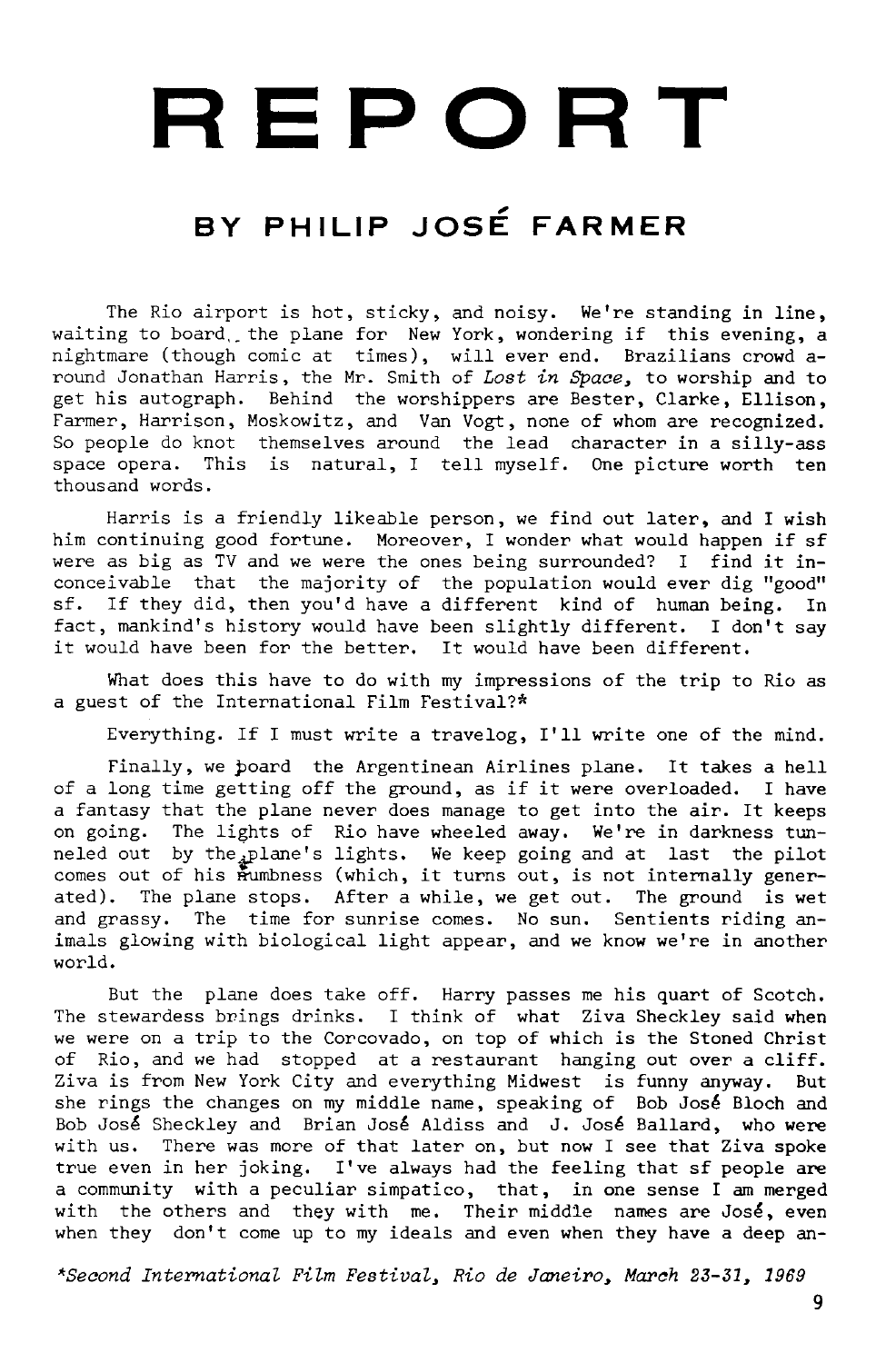# **REPORT**

#### **BY PHILIP JOSE FARMER**

The Rio airport is hot, sticky, and noisy. We're standing in line, waiting to board, the plane for New York, wondering if this evening, a nightmare (though comic at times), will ever end. Brazilians crowd around Jonathan Harris, the Mr. Smith of *Lost in Space,* to worship and to get his autograph. Behind the worshippers are Bester, Clarke, Ellison, Farmer, Harrison, Moskowitz, and Van Vogt, none of whom are recognized. So people do knot themselves around the lead character in a silly-ass space opera. This is natural, I tell myself. One picture worth ten thousand words.

Harris is a friendly likeable person, we find out later, and I wish him continuing good fortune. Moreover, <sup>I</sup> wonder what would happen if sf were as big as TV and we were the ones being surrounded? I find it inconceivable that the majority of the population would ever dig "good" sf. If they did, then you'd have a different kind of human being. In fact, mankind's history would have been slightly different. I don't say it would have been for the better. It would have been different.

What does this have to do with my impressions of the trip to Rio as a guest of the International Film Festival?\*

Everything. If I must write a travelog, I'll write one of the mind.

Finally, we board the Argentinean Airlines plane. It takes a hell of a long time getting off the ground, as if it were overloaded. I have a fantasy that the plane never does manage to get into the air. It keeps on going. The lights of Rio have wheeled away. We're in darkness tunneled out by the plane's lights. We keep going and at last the pilot comes out of his numbness (which, it turns out, is not internally generated). The plane stops. After a while, we get out. The ground is wet and grassy. The time for sunrise comes. No sun. Sentients riding animals glowing with biological light appear, and we know we're in another world.

But the plane does take off. Harry passes me his quart of Scotch. The stewardess brings drinks. I think of what Ziva Sheckley said when we were on a trip to the Corcovado, on top of which is the Stoned Christ of Rio, and we had stopped at a restaurant hanging out over a cliff. Ziva is from New York City and everything Midwest is funny anyway. But she rings the changes on my middle name, speaking of Bob Jos6 Bloch and Bob Jos£ Sheckley and Brian Jos6 Aldiss and J. Jos£ Ballard, who were with us. There was more of that later on, but now I see that Ziva spoke true even in her joking. I've always had the feeling that sf people are a community with a peculiar simpatico, that, in one sense I am merged with the others and they with me. Their middle names are José, even when they don't come up to my ideals and even when they have a deep an-

*\*Second International Film Festival, Rio de Janeiro, March 23-31, 1969*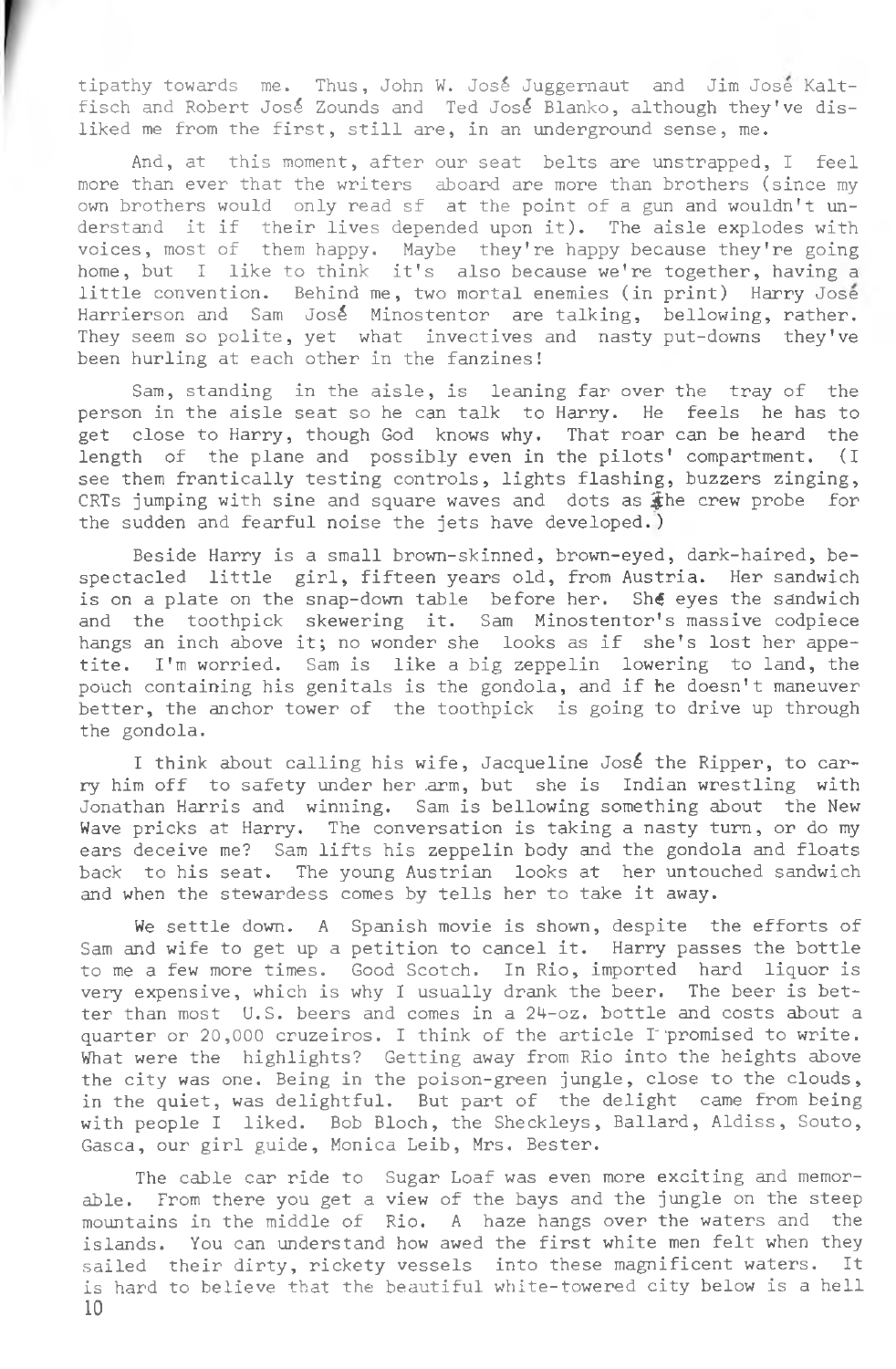tipathy towards me. Thus, John W. Jos6 Juggernaut and Jim Jose Kaltfisch and Robert Jos£ Zounds and Ted Jos4 Blanko, although they've disliked me from the first, still are, in an underground sense, me.

And, at this moment, after our seat belts are unstrapped, I feel more than ever that the writers aboard are more than brothers (since my own brothers would only read sf at the point of a gun and wouldn't understand it if their lives depended upon it). The aisle explodes with voices, most of them happy. Maybe they're happy because they're going home, but <sup>I</sup> like to think it's also because we're together, having a little convention. Behind me, two mortal enemies (in print) Harry Jose Harrierson and Sam José Minostentor are talking, bellowing, rather. They seem so polite, yet what invectives and nasty put-downs they've been hurling at each other in the fanzines!

Sam, standing in the aisle, is leaning far over the tray of the person in the aisle seat so he can talk to Harry. He feels he has to get close to Harry, though God knows why. That roar can be heard the length of the plane and possibly even in the pilots' compartment. (I see them frantically testing controls, lights flashing, buzzers zinging, CRTs jumping with sine and square waves and dots as  $\hat{x}$ he crew probe for the sudden and fearful noise the jets have developed.)

Beside Harry is a small brown-skinned, brown-eyed, dark-haired, bespectacled little girl, fifteen years old, from Austria. Her sandwich is on a plate on the snap-down table before her. She eyes the sandwich and the toothpick skewering it. Sam Minostentor's massive codpiece hangs an inch above it; no wonder she looks as if she's lost her appetite. I'm worried. Sam is like a big zeppelin lowering to land, the pouch containing his genitals is the gondola, and if he doesn't maneuver better, the anchor tower of the toothpick is going to drive up through the gondola.

I think about calling his wife, Jacqueline José the Ripper, to carry him off to safety under her arm, but she is Indian wrestling with Jonathan Harris and winning. Sam is bellowing something about the New Wave pricks at Harry. The conversation is taking a nasty turn, or do my ears deceive me? Sam lifts his zeppelin body and the gondola and floats back to his seat. The young Austrian looks at her untouched sandwich and when the stewardess comes by tells her to take it away.

We settle down. A Spanish movie is shown, despite the efforts of Sam and wife to get up a petition to cancel it. Harry passes the bottle to me a few more times. Good Scotch. In Rio, imported hard liquor is very expensive, which is why <sup>I</sup> usually drank the beer. The beer is better than most U.S. beers and comes in a 24-oz. bottle and costs about a quarter or 20,000 cruzeiros. I think of the article I promised to write. What were the highlights? Getting away from Rio into the heights above the city was one. Being in the poison-green jungle, close to the clouds, in the quiet, was delightful. But part of the delight came from being with people <sup>I</sup> liked. Bob Bloch, the Sheckleys, Ballard, Aldiss, Souto, Gasca, our girl guide, Monica Leib, Mrs. Bester.

The cable car ride to Sugar Loaf was even more exciting and memorable. From there you get a view of the bays and the jungle on the steep mountains in the middle of Rio. A haze hangs over the waters and the islands. You can understand how awed the first white men felt when they sailed their dirty, rickety vessels into these magnificent waters. It is hard to believe that the beautiful white-towered city below is a hell 10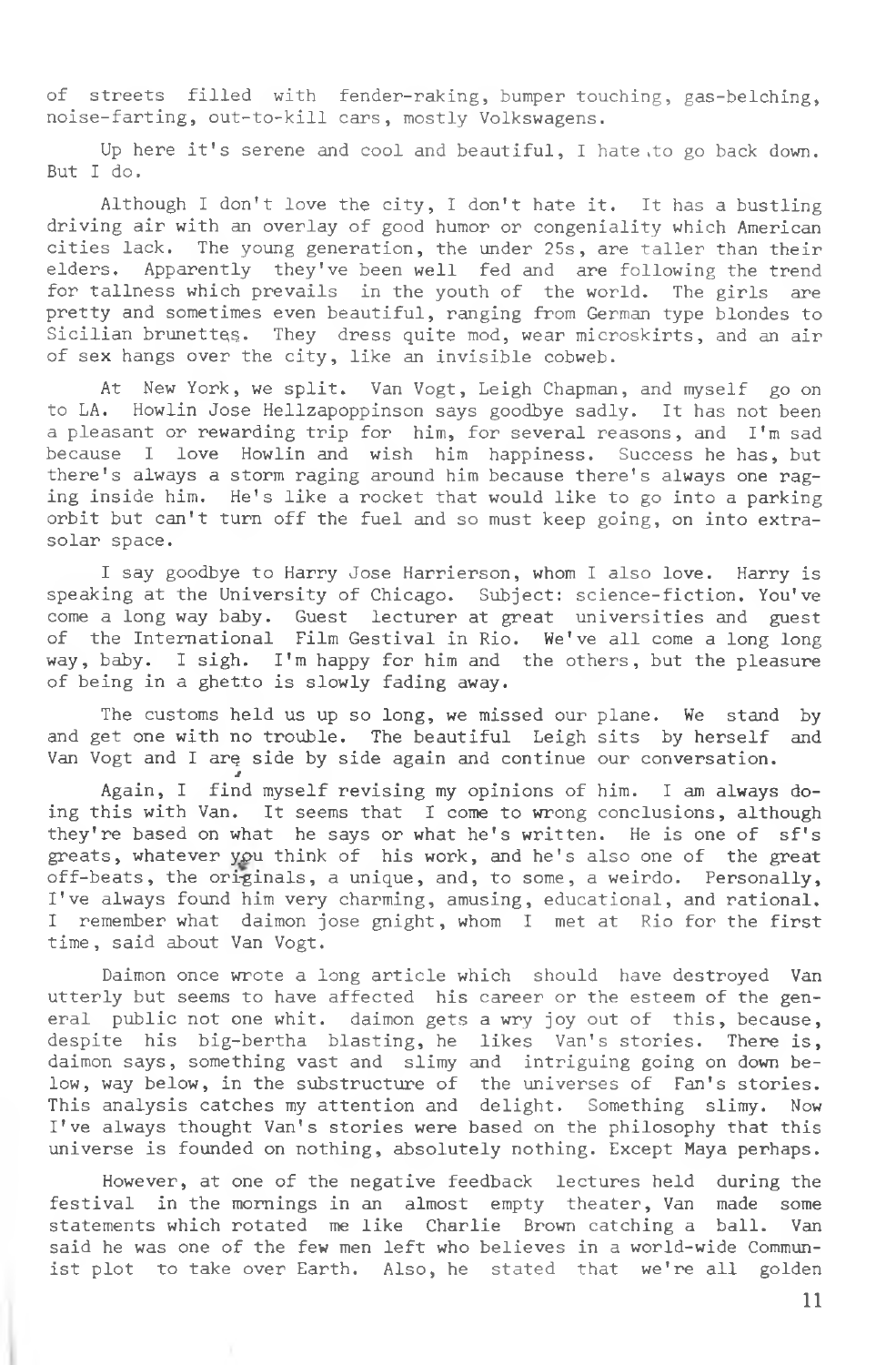of streets filled with fender-raking, bumper touching, gas-belching, noise-farting, out-to-kill cars, mostly Volkswagens.

Up here it's serene and cool and beautiful, I hate ,to go back down. But <sup>I</sup> do.

Although I don't love the city, I don't hate it. It has a bustling driving air with an overlay of good humor or congeniality which American cities lack. The young generation, the under 25s, are taller than their elders. Apparently they've been well fed and are following the trend for tallness which prevails in the youth of the world. The girls are pretty and sometimes even beautiful, ranging from German type blondes to Sicilian brunettes. They dress quite mod, wear microskirts, and an air of sex hangs over the city, like an invisible cobweb.

At New York, we split. Van Vogt, Leigh Chapman, and myself go on to LA. Howlin Jose Hellzapoppinson says goodbye sadly. It has not been a pleasant or rewarding trip for him, for several reasons, and I'm sad because I love Howlin and wish him happiness. Success he has, but there's always a storm raging around him because there's always one raging inside him. He's like a rocket that would like to go into a parking orbit but can't turn off the fuel and so must keep going, on into extrasolar space.

I say goodbye to Harry Jose Harrierson, whom I also love. Harry is speaking at the University of Chicago. Subject: science-fiction. You've come a long way baby. Guest lecturer at great universities and guest of the International Film Gestival in Rio. We've all come a long long way, baby. I sigh. I'm happy for him and the others, but the pleasure of being in a ghetto is slowly fading away.

The customs held us up so long, we missed our plane. We stand by and get one with no trouble. The beautiful Leigh sits by herself and Van Vogt and I are side by side again and continue our conversation.

*Jt*

Again, <sup>I</sup> find myself revising my opinions of him. <sup>I</sup> am always doing this with Van. It seems that I come to wrong conclusions, although they're based on what he says or what he's written. He is one of sf's greats, whatever you think of his work, and he's also one of the great off-beats, the originals, a unique, and, to some, a weirdo. Personally, I've always found him very charming, amusing, educational, and rational. I remember what daimon jose gnight, whom <sup>I</sup> met at Rio for the first time, said about Van Vogt.

Daimon once wrote a long article which should have destroyed Van utterly but seems to have affected his career or the esteem of the general public not one whit. daimon gets a wry joy out of this, because, despite his big-bertha blasting, he likes Van's stories. There is, daimon says, something vast and slimy and intriguing going on down below, way below, in the substructure of the universes of Fan's stories. This analysis catches my attention and delight. Something slimy. Now I've always thought Van's stories were based on the philosophy that this universe is founded on nothing, absolutely nothing. Except Maya perhaps.

However, at one of the negative feedback lectures held during the festival in the mornings in an almost empty theater, Van made some statements which rotated me like Charlie Brown catching a ball. Van said he was one of the few men left who believes in a world-wide Communist plot to take over Earth. Also, he stated that we're all golden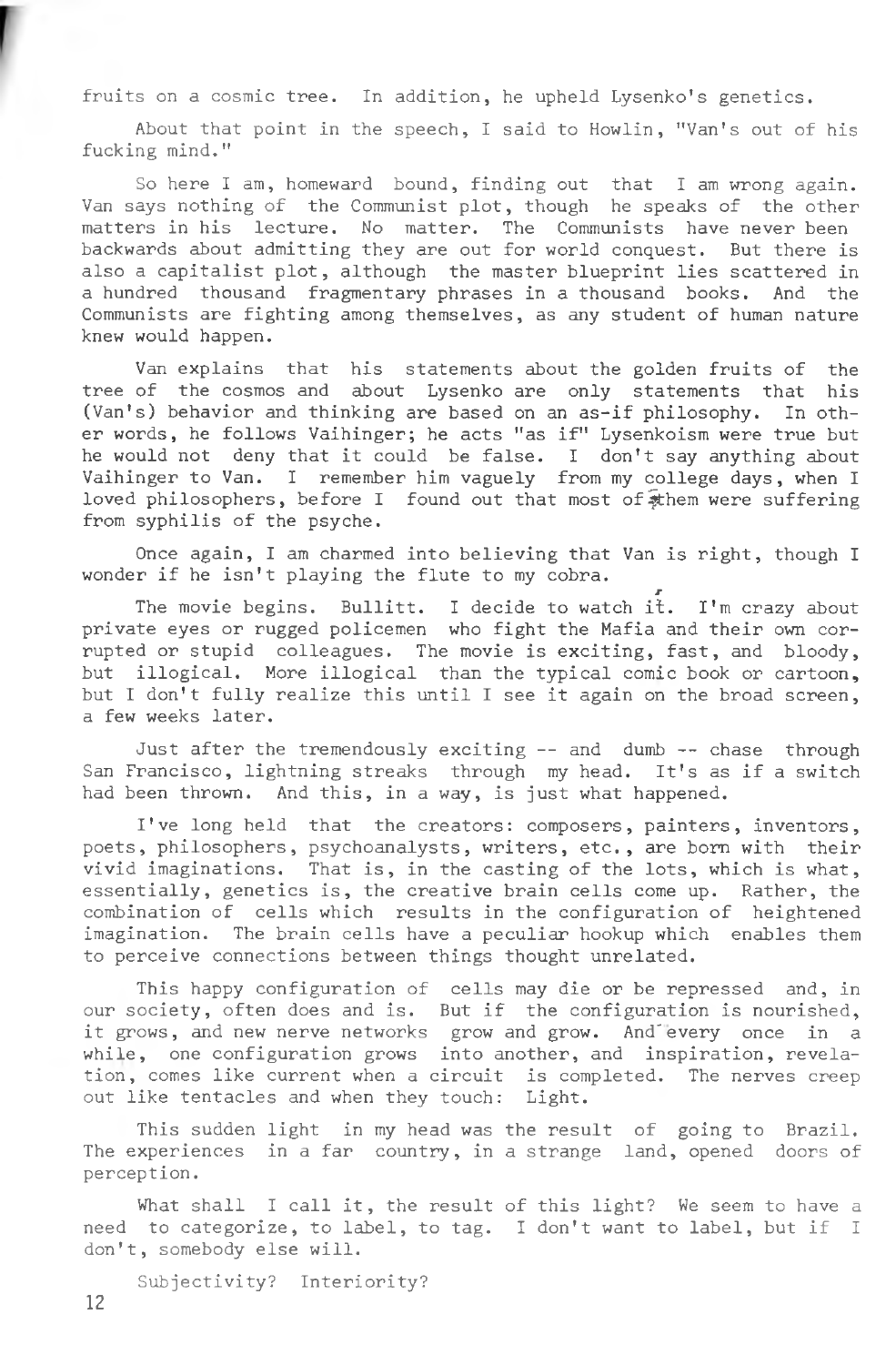fruits on a cosmic tree. In addition, he upheld Lysenko's genetics.

About that point in the speech, I said to Howlin, "Van's out of his fucking mind."

So here <sup>I</sup> am, homeward bound, finding out that <sup>I</sup> am wrong again. Van says nothing of the Communist plot, though he speaks of the other matters in his lecture. No matter. The Communists have never been backwards about admitting they are out for world conquest. But there is also a capitalist plot, although the master blueprint lies scattered in a hundred thousand fragmentary phrases in a thousand books. And the Communists are fighting among themselves, as any student of human nature knew would happen.

Van explains that his statements about the golden fruits of the tree of the cosmos and about Lysenko are only statements that his (Van's) behavior and thinking are based on an as-if philosophy. In other words, he follows Vaihinger; he acts "as if" Lysenkoism were true but he would not deny that it could be false. I don't say anything about Vaihinger to Van. <sup>I</sup> remember him vaguely from my college days, when <sup>I</sup> loved philosophers, before I found out that most of^zhem were suffering from syphilis of the psyche.

Once again, I am charmed into believing that Van is right, though I wonder if he isn't playing the flute to my cobra.

*r* The movie begins. Bullitt. I decide to watch it. I'm crazy about private eyes or rugged policemen who fight the Mafia and their own corrupted or stupid colleagues. The movie is exciting, fast, and bloody, but illogical. More illogical than the typical comic book or cartoon, but I don't fully realize this until I see it again on the broad screen, a few weeks later.

Just after the tremendously exciting — and dumb — chase through San Francisco, lightning streaks through my head. It's as if a switch had been thrown. And this, in a way, is just what happened.

I've long held that the creators: composers, painters, inventors, poets, philosophers, psychoanalysts, writers, etc., are born with their vivid imaginations. That is, in the casting of the lots, which is what, essentially, genetics is, the creative brain cells come up. Rather, the combination of cells which results in the configuration of heightened imagination. The brain cells have a peculiar hookup which enables them to perceive connections between things thought unrelated.

This happy configuration of cells may die or be repressed and, in our society, often does and is. But if the configuration is nourished, it grows, and new nerve networks grow and grow. And'every once in a while, one configuration grows into another, and inspiration, revelation, comes like current when a circuit is completed. The nerves creep out like tentacles and when they touch: Light.

This sudden light in my head was the result of going to Brazil. The experiences in a far country, in a strange land, opened doors of perception.

What shall *I* call it, the result of this light? We seem to have a need to categorize, to label, to tag. I don't want to label, but if I don't, somebody else will.

Subjectivity? Inferiority?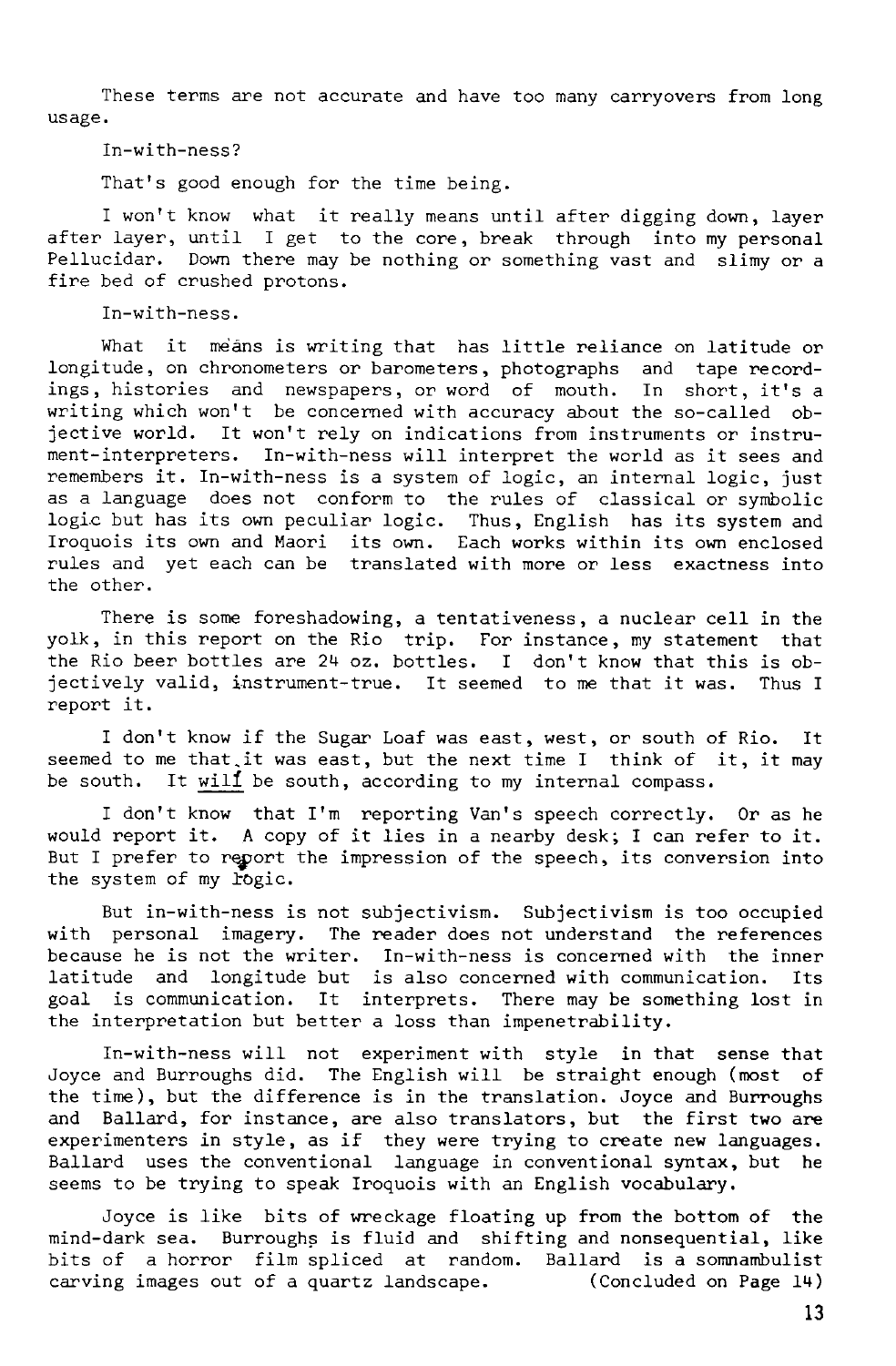These terms are not accurate and have too many carryovers from long usage.

In-with-ness?

That's good enough for the time being.

I won't know what it really means until after digging down, layer after layer, until I get to the core, break through into my personal Pellucidar. Down there may be nothing or something vast and slimy or a fire bed of crushed protons.

In-with-ness.

What it means is writing that has little reliance on latitude or longitude, on chronometers or barometers, photographs and tape recordings, histories and newspapers, or word of mouth. In short, it's a writing which won't be concerned with accuracy about the so-called objective world. It won't rely on indications from instruments or instrument-interpreters. In-with-ness will interpret the world as it sees and remembers it. In-with-ness is a system of logic, an internal logic, just as a language does not conform to the rules of classical or symbolic logic but has its own peculiar logic. Thus, English has its system and Iroquois its own and Maori its own. Each works within its own enclosed rules and yet each can be translated with more or less exactness into the other.

There is some foreshadowing, a tentativeness, a nuclear cell in the yolk, in this report on the Rio trip. For instance, my statement that the Rio beer bottles are 24 oz. bottles. <sup>I</sup> don't know that this is objectively valid, instrument-true. It seemed to me that it was. Thus <sup>I</sup> report it.

I don't know if the Sugar Loaf was east, west, or south of Rio. It seemed to me that,it was east, but the next time I think of it, it may be south. It will be south, according to my internal compass.

I don't know that I'm reporting Van's speech correctly. Or as he would report it. A copy of it lies in a nearby desk; <sup>I</sup> can refer to it. But I prefer to report the impression of the speech, its conversion into the system of my rogic.

But in-with-ness is not subjectivism. Subjectivism is too occupied with personal imagery. The reader does not understand the references because he is not the writer. In-with-ness is concerned with the inner latitude and longitude but is also concerned with communication. Its goal is communication. It interprets. There may be something lost in the interpretation but better a loss than impenetrability.

In-with-ness will not experiment with style in that sense that Joyce and Burroughs did. The English will be straight enough (most of the time), but the difference is in the translation. Joyce and Burroughs and Ballard, for instance, are also translators, but the first two are experimenters in style, as if they were trying to create new languages. Ballard uses the conventional language in conventional syntax, but he seems to be trying to speak Iroquois with an English vocabulary.

Joyce is like bits of wreckage floating up from the bottom of the mind-dark sea. Burroughs is fluid and shifting and nonsequential, like bits of a horror film spliced at random. Ballard is a somnambulist carving images out of a quartz landscape. (Concluded on Page 1U)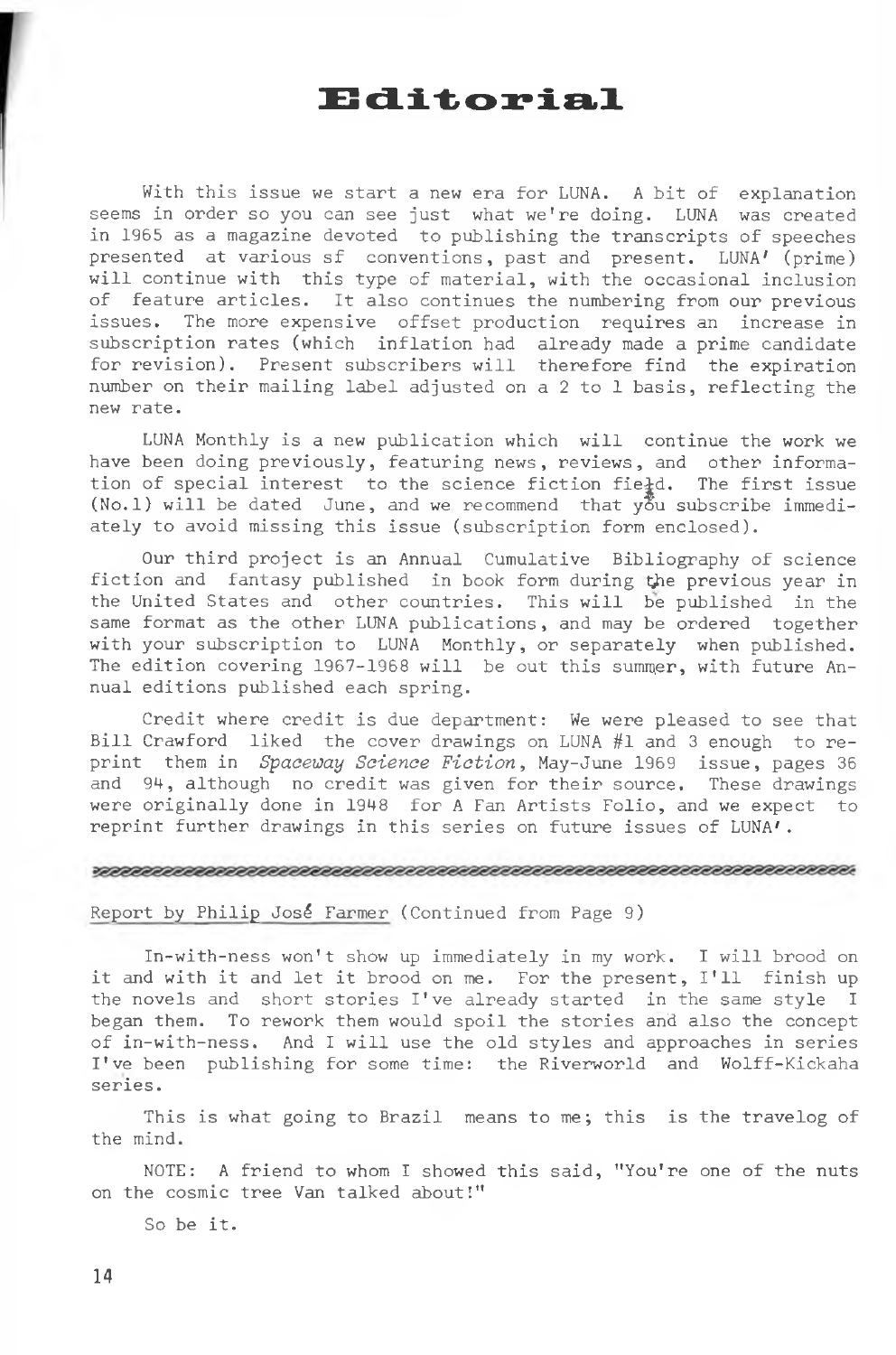#### **Editorial**

With this issue we start a new era for LUNA. A bit of explanation seems in order so you can see just what we're doing. LUNA was created in 1965 as a magazine devoted to publishing the transcripts of speeches presented at various sf conventions, past and present. LUNA' (prime) will continue with this type of material, with the occasional inclusion of feature articles. It also continues the numbering from our previous issues. The more expensive offset production requires an increase in subscription rates (which inflation had already made a prime candidate for revision). Present subscribers will therefore find the expiration number on their mailing label adjusted on a 2 to 1 basis, reflecting the new rate.

LUNA Monthly is a new publication which will continue the work we have been doing previously, featuring news, reviews, and other information of special interest to the science fiction field. The first issue (No.1) will be dated June, and we recommend that  $\sqrt{6}u$  subscribe immediately to avoid missing this issue (subscription form enclosed).

Our third project is an Annual Cumulative Bibliography of science fiction and fantasy published in book form during the previous year in the United States and other countries. This will be published in the same format as the other LUNA publications, and may be ordered together with your subscription to LUNA Monthly, or separately when published. The edition covering 1967-1968 will be out this summer, with future Annual editions published each spring.

Credit where credit is due department: We were pleased to see that Bill Crawford liked the cover drawings on LUNA #1 and 3 enough to reprint them in *Spaceway Science Fiction,* May-June 1969 issue, pages 36 and 94, although no credit was given for their source. These drawings were originally done in 1948 for A Fan Artists Folio, and we expect to reprint further drawings in this series on future issues of LUNA'.

#### 

Report by Philip José Farmer (Continued from Page 9)

In-with-ness won't show up immediately in my work. I will brood on it and with it and let it brood on me. For the present, I'll finish up the novels and short stories I've already started in the same style <sup>I</sup> began them. To rework them would spoil the stories and also the concept of in-with-ness. And <sup>I</sup> will use the old styles and approaches in series I've been publishing for some time: the Riverworld and Wolff-Kickaha series.

This is what going to Brazil means to me; this is the travelog of the mind.

NOTE: A friend to whom <sup>I</sup> showed this said, "You're one of the nuts on the cosmic tree Van talked about!"

So be it.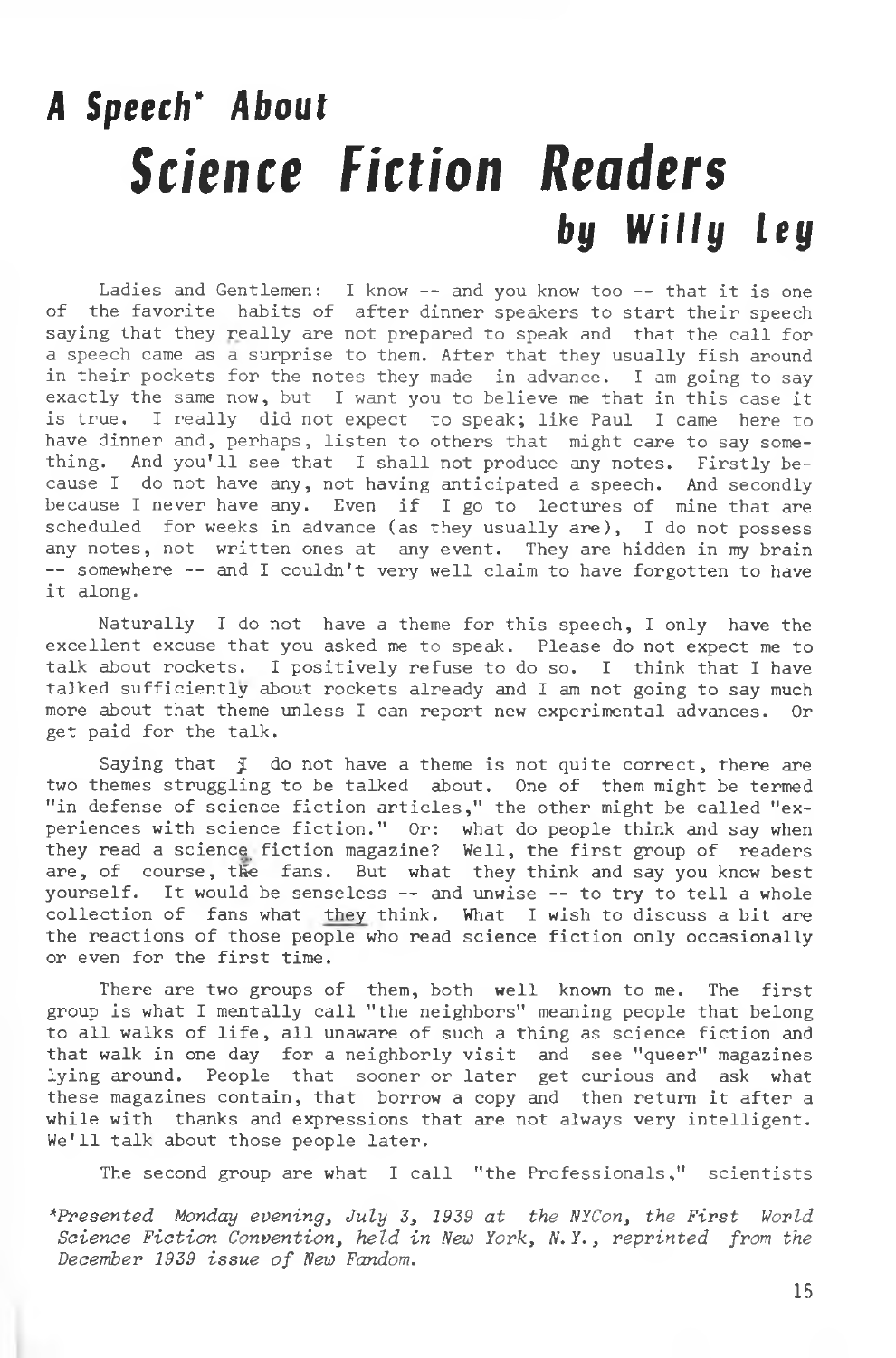## 4 *Speech\* About Science Fiction Readers by Willy Ley*

Ladies and Gentlemen: <sup>I</sup> know — and you know too — that it is one of the favorite habits of after dinner speakers to start their speech saying that they really are not prepared to speak and that the call for a speech came as a surprise to them. After that they usually fish around in their pockets for the notes they made in advance. <sup>I</sup> am going to say exactly the same now, but <sup>I</sup> want you to believe me that in this case it is true. I really did not expect to speak; like Paul I came here to have dinner and, perhaps, listen to others that might care to say something. And you'll see that I shall not produce any notes. Firstly because I do not have any, not having anticipated a speech. And secondly because I never have any. Even if <sup>I</sup> go to lectures of mine that are scheduled for weeks in advance (as they usually are), I do not possess any notes, not written ones at any event. They are hidden in my brain -- somewhere -- and I couldn't very well claim to have forgotten to have it along.

Naturally I do not have a theme for this speech, I only have the excellent excuse that you asked me to speak. Please do not expect me to talk about rockets. I positively refuse to do so. I think that I have talked sufficiently about rockets already and I am not going to say much more about that theme unless <sup>I</sup> can report new experimental advances. Or get paid for the talk.

Saying that  $\mathfrak I$  do not have a theme is not quite correct, there are two themes struggling to be talked about. One of them might be termed "in defense of science fiction articles," the other might be called "experiences with science fiction." Or: what do people think and say when they read a science fiction magazine? Well, the first group of readers are, of course, the fans. But what they think and say you know best yourself. It would be senseless -- and unwise -- to try to tell a whole collection of fans what they think. What I wish to discuss a bit are the reactions of those people who read science fiction only occasionally or even for the first time.

There are two groups of them, both well known to me. The first group is what I mentally call "the neighbors" meaning people that belong to all walks of life, all unaware of such a thing as science fiction and that walk in one day for a neighborly visit and see "queer" magazines lying around. People that sooner or later get curious and ask what these magazines contain, that borrow a copy and then return it after a while with thanks and expressions that are not always very intelligent. We'll talk about those people later.

The second group are what I call "the Professionals," scientists

\*Presented *Monday evening, July 3, 1939 at the NYCon, the First World Science Fiction Convention, held in New York, N.Y., reprinted from the December 1939 issue of New Fandom.*